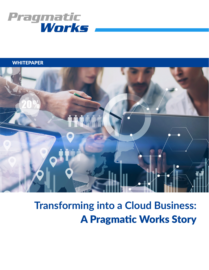

# **WHITEPAPER**



# **Transforming into a Cloud Business:** A Pragmatic Works Story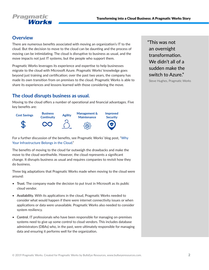

# **Overview**

There are numerous benefits associated with moving an organization's IT to the cloud. But the decision to move to the cloud can be daunting and the process of moving can be intimidating. The cloud is disruptive to business as usual, and the move impacts not just IT systems, but the people who support them.

Pragmatic Works leverages its experience and expertise to help businesses migrate to the cloud with Microsoft Azure. Pragmatic Works' knowledge goes beyond just training and certification; over the past two years, the company has made its own transition from on premises to the cloud. Pragmatic Works is able to share its experiences and lessons learned with those considering the move.

# **The cloud disrupts business as usual.**

Moving to the cloud offers a number of operational and financial advantages. Five key benefits are:



For a further discussion of the benefits, see Pragmatic Works' blog post, ["Why](http://blog.pragmaticworks.com/azure-data-week-why-your-infrastructure-belongs-in-the-cloud) [Your Infrastructure Belongs in the Cloud.](http://blog.pragmaticworks.com/azure-data-week-why-your-infrastructure-belongs-in-the-cloud)"

The benefits of moving to the cloud far outweigh the drawbacks and make the move to the cloud worthwhile. However, the cloud represents a significant change. It disrupts business as usual and requires companies to revisit how they do business.

Three big adaptations that Pragmatic Works made when moving to the cloud were around:

- **Trust.** The company made the decision to put trust in Microsoft as its public cloud vendor.
- **Availability.** With its applications in the cloud, Pragmatic Works needed to consider what would happen if there were internet connectivity issues or when applications or data were unavailable. Pragmatic Works also needed to consider system resiliency.
- **Control.** IT professionals who have been responsible for managing on-premises systems need to give up some control to cloud vendors. This includes database administrators (DBAs) who, in the past, were ultimately responsible for managing data and ensuring it performs well for the organization.

"This was not an overnight transformation. We didn't all of a sudden make the switch to Azure."

Steve Hughes, Pragmatic Works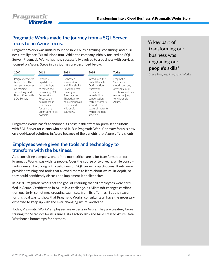

# **Pragmatic Works made the journey from a SQL Server focus to an Azure focus.**

Pragmatic Works was initially founded in 2007 as a training, consulting, and business intelligence (BI) solutions firm. While the company initially focused on SQL Server, Pragmatic Works has now successfully evolved to a business with services focused on Azure. Steps in this journey are described below.

|  |                                                                                                                              |                                                                                                                                                                                          |                                                                                                                                                                       |                                                                                                                                                                                                     |                                                                                                                            | <b>PODICO SIGNA</b><br>Steve Hughes, Pragmatic Wor |
|--|------------------------------------------------------------------------------------------------------------------------------|------------------------------------------------------------------------------------------------------------------------------------------------------------------------------------------|-----------------------------------------------------------------------------------------------------------------------------------------------------------------------|-----------------------------------------------------------------------------------------------------------------------------------------------------------------------------------------------------|----------------------------------------------------------------------------------------------------------------------------|----------------------------------------------------|
|  | 2007                                                                                                                         | 2011                                                                                                                                                                                     | 2013                                                                                                                                                                  | 2016                                                                                                                                                                                                | Today                                                                                                                      |                                                    |
|  | Pragmatic Works<br>is founded. The<br>company focuses<br>on training.<br>consulting, and<br>BI solutions with<br>SQL Server. | Expands<br>capabilities<br>and offerings<br>to match the<br>expanding SQL<br>Server stack.<br>Focuses on<br>helping make<br>BI a reality<br>for as many<br>organizations as<br>possible. | Embraced<br>Power Pivot<br>and SharePoint<br>BI. Added free<br>training on<br>Tuesdavs and<br>Thursdays to<br>help companies<br>understand<br>Microsoft<br>solutions. | Introduced the<br>Data Lifecycle<br>Optimization<br>framework<br>to have a<br>more holistic<br>conversation<br>with customers<br>around their<br>stage of maturity<br>within the data<br>lifecycle. | Pragmatic<br>Works is a<br>cloud company<br>offering cloud<br>solutions and has<br>made the jump<br>to Microsoft<br>Azure. |                                                    |
|  |                                                                                                                              |                                                                                                                                                                                          |                                                                                                                                                                       |                                                                                                                                                                                                     |                                                                                                                            |                                                    |

Pragmatic Works hasn't abandoned its past; it still offers on-premises solutions with SQL Server for clients who need it. But Pragmatic Works' primary focus is now on cloud-based solutions in Azure because of the benefits that Azure offers clients.

## **Employees were given the tools and technology to transform with the business.**

As a consulting company, one of the most critical areas for transformation for Pragmatic Works was with its people. Over the course of two years, while consultants were still working with customers on SQL Server projects, consultants were provided training and tools that allowed them to learn about Azure, in-depth, so they could confidently discuss and implement it at client sites.

In 2018, Pragmatic Works set the goal of ensuring that all employees were certified in Azure. Certification in Azure is a challenge, as Microsoft changes certification quarterly, sometimes dropping exam sets from its offerings. But the reason for this goal was to show that Pragmatic Works' consultants all have the necessary expertise to keep up with the ever-changing Azure landscape.

Today, Pragmatic Works' employees are experts in Azure. They are creating Azure training for Microsoft for its Azure Data Factory labs and have created Azure Data Warehouse bootcamps for partners.

"A key part of transforming our business was upgrading our people's skills"

Steve Hughes, Pragmatic Works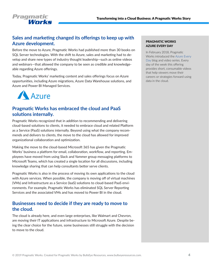

# **Sales and marketing changed its offerings to keep up with Azure development.**

Before the move to Azure, Pragmatic Works had published more than 30 books on SQL Server technologies. With the shift to Azure, sales and marketing had to develop and share new types of industry thought leadership—such as online videos and webinars—that allowed the company to be seen as credible and knowledgeable regarding Azure offerings.

Today, Pragmatic Works' marketing content and sales offerings focus on Azure opportunities, including Azure migrations, Azure Data Warehouse solutions, and Azure and Power BI Managed Services.



# **Pragmatic Works has embraced the cloud and PaaS solutions internally.**

Pragmatic Works recognized that in addition to recommending and delivering cloud-based solutions to clients, it needed to embrace cloud and related Platform as a Service (PaaS) solutions internally. Beyond using what the company recommends and delivers to clients, the move to the cloud has allowed for improved organizational collaboration and optimization.

Making the move to the cloud-based Microsoft 365 has given the Pragmatic Works' business a platform for email, collaboration, workflow, and reporting. Employees have moved from using Slack and Yammer group messaging platforms to Microsoft Teams, which has created a single location for all discussions, including knowledge sharing that can help consultants better serve clients.

Pragmatic Works is also in the process of moving its own applications to the cloud with Azure services. When possible, the company is moving off of virtual machines (VMs) and Infrastructure as a Service (IaaS) solutions to cloud-based PaaS environments. For example, Pragmatic Works has eliminated SQL Server Reporting Services and the associated VMs and has moved to Power BI in the cloud.

## **Businesses need to decide if they are ready to move to the cloud.**

The cloud is already here, and even large enterprises, like Walmart and Chevron, are moving their IT applications and infrastructure to Microsoft Azure. Despite being the clear choice for the future, some businesses still struggle with the decision to move to the cloud.

#### PRAGMATIC WORKS AZURE EVERY DAY

In February 2018, Pragmatic Works introduced the [Azure Every](http://blog.pragmaticworks.com/topic/azure-every-day)  [Day](http://blog.pragmaticworks.com/topic/azure-every-day) blog and video series. Every day of the week this offering provides short, consumable videos that help viewers move their careers or strategies forward using data in the cloud.